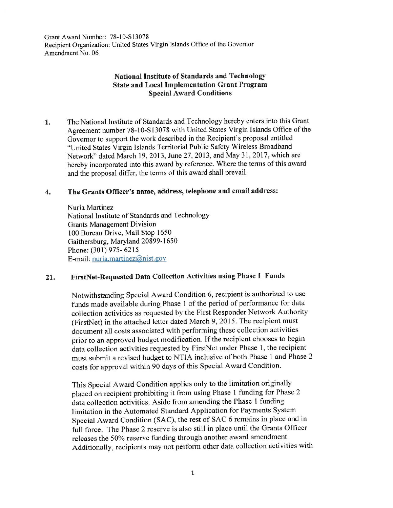Grant Award Number: 78-10-S13078 Recipient Organization: United States Virgin Islands Office of the Governor Amendment No. 06

# **National Institute of Standards and Technology State and Local Implementation Grant Program Special Award Conditions**

**1.** The National Institute of Standards and Technology hereby enters into this Grant Agreement number 78-10-S13078 with United States Virgin Islands Office of the Governor to support the work described in the Recipient's proposal entitled "United States Virgin Islands Territorial Public Safety Wireless Broadband Network" dated March 19, 2013, June 27, 2013, and May 31, 2017, which are hereby incorporated into this award by reference. Where the terms of this award and the proposal differ, the terms of this award shall prevail.

#### **4. The Grants Officer's name, address, telephone and email address:**

Nuria Martinez National Institute of Standards and Technology Grants Management Division I 00 Bureau Drive, Mail Stop 1650 Gaithersburg, Maryland 20899-1650 Phone: (301) 975- 6215 E-mail: nuria.martinez@nist.gov

## **21. FirstNet-Requested Data Collection Activities using Phase 1 Funds**

Notwithstanding Special Award Condition 6, recipient is authorized to use funds made available during Phase l of the period of performance for data collection activities as requested by the First Responder Network Authority (FirstNet) in the attached letter dated March 9, 2015. The recipient must document all costs associated with performing these collection activities prior to an approved budget modification. If the recipient chooses to begin data collection activities requested by FirstNet under Phase I, the recipient must submit a revised budget to NTlA inclusive of both Phase 1 and Phase 2 costs for approval within 90 days of this Special Award Condition.

This Special Award Condition applies only to the limitation originally placed on recipient prohibiting it from using Phase 1 funding for Phase 2 data collection activities. Aside from amending the Phase l funding limitation in the Automated Standard Application for Payments System Special Award Condition (SAC), the rest of SAC 6 remains in place and in full force. The Phase 2 reserve is also still in place until the Grants Officer releases the 50% reserve funding through another award amendment. Additionally, recipients may not perform other data collection activities with